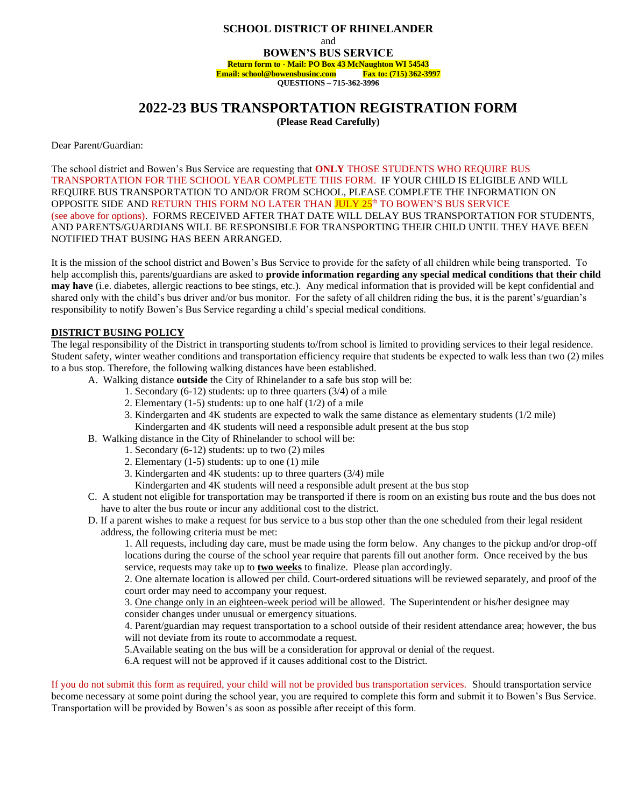## **SCHOOL DISTRICT OF RHINELANDER**

and

**BOWEN'S BUS SERVICE Return form to - Mail: PO Box 43 McNaughton WI 54543** 

**Email: school@bowensbusinc.com Fax to: (715) 362-3997**

**QUESTIONS – 715-362-3996**

## **2022-23 BUS TRANSPORTATION REGISTRATION FORM**

**(Please Read Carefully)**

Dear Parent/Guardian:

The school district and Bowen's Bus Service are requesting that **ONLY** THOSE STUDENTS WHO REQUIRE BUS TRANSPORTATION FOR THE SCHOOL YEAR COMPLETE THIS FORM. IF YOUR CHILD IS ELIGIBLE AND WILL REQUIRE BUS TRANSPORTATION TO AND/OR FROM SCHOOL, PLEASE COMPLETE THE INFORMATION ON OPPOSITE SIDE AND RETURN THIS FORM NO LATER THAN <mark>JULY 25</mark>th TO BOWEN'S BUS SERVICE (see above for options). FORMS RECEIVED AFTER THAT DATE WILL DELAY BUS TRANSPORTATION FOR STUDENTS, AND PARENTS/GUARDIANS WILL BE RESPONSIBLE FOR TRANSPORTING THEIR CHILD UNTIL THEY HAVE BEEN NOTIFIED THAT BUSING HAS BEEN ARRANGED.

It is the mission of the school district and Bowen's Bus Service to provide for the safety of all children while being transported. To help accomplish this, parents/guardians are asked to **provide information regarding any special medical conditions that their child may have** (i.e. diabetes, allergic reactions to bee stings, etc.). Any medical information that is provided will be kept confidential and shared only with the child's bus driver and/or bus monitor. For the safety of all children riding the bus, it is the parent's/guardian's responsibility to notify Bowen's Bus Service regarding a child's special medical conditions.

## **DISTRICT BUSING POLICY**

The legal responsibility of the District in transporting students to/from school is limited to providing services to their legal residence. Student safety, winter weather conditions and transportation efficiency require that students be expected to walk less than two (2) miles to a bus stop. Therefore, the following walking distances have been established.

- A. Walking distance **outside** the City of Rhinelander to a safe bus stop will be:
	- 1. Secondary (6-12) students: up to three quarters (3/4) of a mile
	- 2. Elementary  $(1-5)$  students: up to one half  $(1/2)$  of a mile
	- 3. Kindergarten and 4K students are expected to walk the same distance as elementary students (1/2 mile)
	- Kindergarten and 4K students will need a responsible adult present at the bus stop
- B. Walking distance in the City of Rhinelander to school will be:
	- 1. Secondary (6-12) students: up to two (2) miles
	- 2. Elementary (1-5) students: up to one (1) mile
	- 3. Kindergarten and 4K students: up to three quarters (3/4) mile
	- Kindergarten and 4K students will need a responsible adult present at the bus stop
- C. A student not eligible for transportation may be transported if there is room on an existing bus route and the bus does not have to alter the bus route or incur any additional cost to the district.
- D. If a parent wishes to make a request for bus service to a bus stop other than the one scheduled from their legal resident address, the following criteria must be met:

1. All requests, including day care, must be made using the form below. Any changes to the pickup and/or drop-off locations during the course of the school year require that parents fill out another form. Once received by the bus service, requests may take up to **two weeks** to finalize. Please plan accordingly.

2. One alternate location is allowed per child. Court-ordered situations will be reviewed separately, and proof of the court order may need to accompany your request.

3. One change only in an eighteen-week period will be allowed. The Superintendent or his/her designee may consider changes under unusual or emergency situations.

4. Parent/guardian may request transportation to a school outside of their resident attendance area; however, the bus will not deviate from its route to accommodate a request.

5.Available seating on the bus will be a consideration for approval or denial of the request.

6.A request will not be approved if it causes additional cost to the District.

If you do not submit this form as required, your child will not be provided bus transportation services. Should transportation service become necessary at some point during the school year, you are required to complete this form and submit it to Bowen's Bus Service. Transportation will be provided by Bowen's as soon as possible after receipt of this form.